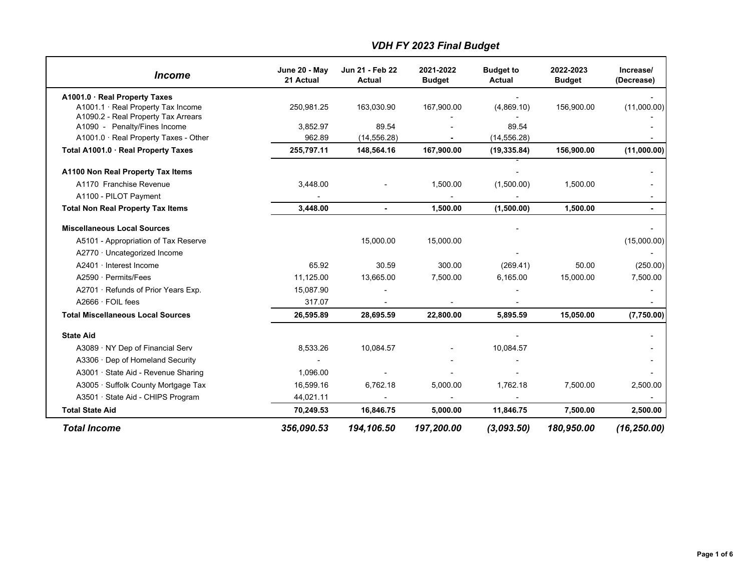| <i><u><b>Income</b></u></i>                                           | June 20 - May<br>21 Actual | Jun 21 - Feb 22<br><b>Actual</b> | 2021-2022<br><b>Budget</b> | <b>Budget to</b><br>Actual | 2022-2023<br><b>Budget</b> | Increase/<br>(Decrease) |
|-----------------------------------------------------------------------|----------------------------|----------------------------------|----------------------------|----------------------------|----------------------------|-------------------------|
| A1001.0 · Real Property Taxes                                         |                            |                                  |                            |                            |                            |                         |
| A1001.1 · Real Property Tax Income                                    | 250,981.25                 | 163,030.90                       | 167,900.00                 | (4,869.10)                 | 156,900.00                 | (11,000.00)             |
| A1090.2 - Real Property Tax Arrears                                   |                            |                                  |                            |                            |                            |                         |
| A1090 - Penalty/Fines Income<br>A1001.0 · Real Property Taxes - Other | 3,852.97<br>962.89         | 89.54<br>(14, 556.28)            |                            | 89.54<br>(14, 556.28)      |                            |                         |
|                                                                       |                            |                                  |                            |                            |                            |                         |
| Total A1001.0 · Real Property Taxes                                   | 255,797.11                 | 148,564.16                       | 167,900.00                 | (19, 335.84)               | 156,900.00                 | (11,000.00)             |
| A1100 Non Real Property Tax Items                                     |                            |                                  |                            |                            |                            |                         |
| A1170 Franchise Revenue                                               | 3,448.00                   |                                  | 1,500.00                   | (1,500.00)                 | 1,500.00                   |                         |
| A1100 - PILOT Payment                                                 |                            |                                  |                            |                            |                            | ۰                       |
| <b>Total Non Real Property Tax Items</b>                              | 3,448.00                   | $\blacksquare$                   | 1,500.00                   | (1,500.00)                 | 1,500.00                   | ÷.                      |
| <b>Miscellaneous Local Sources</b>                                    |                            |                                  |                            |                            |                            |                         |
| A5101 - Appropriation of Tax Reserve                                  |                            | 15,000.00                        | 15,000.00                  |                            |                            | (15,000.00)             |
| A2770 · Uncategorized Income                                          |                            |                                  |                            |                            |                            |                         |
| A2401 · Interest Income                                               | 65.92                      | 30.59                            | 300.00                     | (269.41)                   | 50.00                      | (250.00)                |
| A2590 · Permits/Fees                                                  | 11,125.00                  | 13,665.00                        | 7,500.00                   | 6,165.00                   | 15,000.00                  | 7,500.00                |
| A2701 · Refunds of Prior Years Exp.                                   | 15,087.90                  |                                  |                            |                            |                            |                         |
| $A2666 \cdot FOL$ fees                                                | 317.07                     |                                  |                            |                            |                            |                         |
| <b>Total Miscellaneous Local Sources</b>                              | 26,595.89                  | 28,695.59                        | 22,800.00                  | 5,895.59                   | 15,050.00                  | (7,750.00)              |
| <b>State Aid</b>                                                      |                            |                                  |                            |                            |                            |                         |
| A3089 · NY Dep of Financial Serv                                      | 8,533.26                   | 10,084.57                        |                            | 10,084.57                  |                            |                         |
| A3306 · Dep of Homeland Security                                      |                            |                                  |                            |                            |                            |                         |
| A3001 · State Aid - Revenue Sharing                                   | 1,096.00                   |                                  |                            |                            |                            |                         |
| A3005 · Suffolk County Mortgage Tax                                   | 16,599.16                  | 6,762.18                         | 5,000.00                   | 1,762.18                   | 7.500.00                   | 2,500.00                |
| A3501 · State Aid - CHIPS Program                                     | 44,021.11                  |                                  |                            |                            |                            |                         |
| <b>Total State Aid</b>                                                | 70,249.53                  | 16,846.75                        | 5,000.00                   | 11,846.75                  | 7,500.00                   | 2,500.00                |
| <b>Total Income</b>                                                   | 356,090.53                 | 194,106.50                       | 197,200.00                 | (3,093.50)                 | 180,950.00                 | (16, 250.00)            |

## *VDH FY 2023 Final Budget*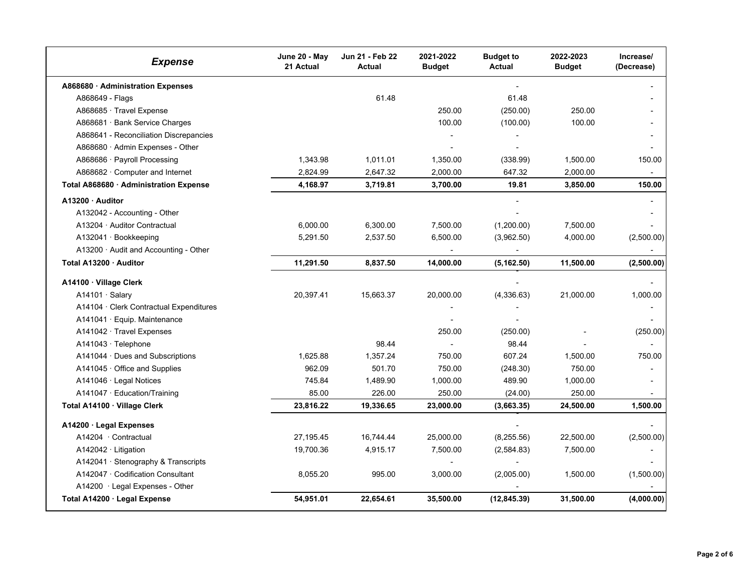| <b>Expense</b>                          | June 20 - May<br>21 Actual | Jun 21 - Feb 22<br><b>Actual</b> | 2021-2022<br><b>Budget</b> | <b>Budget to</b><br><b>Actual</b> | 2022-2023<br><b>Budget</b> | Increase/<br>(Decrease) |
|-----------------------------------------|----------------------------|----------------------------------|----------------------------|-----------------------------------|----------------------------|-------------------------|
| A868680 · Administration Expenses       |                            |                                  |                            | $\blacksquare$                    |                            |                         |
| A868649 - Flags                         |                            | 61.48                            |                            | 61.48                             |                            |                         |
| A868685 · Travel Expense                |                            |                                  | 250.00                     | (250.00)                          | 250.00                     |                         |
| A868681 · Bank Service Charges          |                            |                                  | 100.00                     | (100.00)                          | 100.00                     |                         |
| A868641 - Reconciliation Discrepancies  |                            |                                  |                            |                                   |                            |                         |
| A868680 · Admin Expenses - Other        |                            |                                  |                            |                                   |                            |                         |
| A868686 · Payroll Processing            | 1,343.98                   | 1,011.01                         | 1,350.00                   | (338.99)                          | 1,500.00                   | 150.00                  |
| A868682 · Computer and Internet         | 2,824.99                   | 2,647.32                         | 2,000.00                   | 647.32                            | 2,000.00                   |                         |
| Total A868680 · Administration Expense  | 4,168.97                   | 3,719.81                         | 3,700.00                   | 19.81                             | 3,850.00                   | 150.00                  |
| A13200 · Auditor                        |                            |                                  |                            |                                   |                            |                         |
| A132042 - Accounting - Other            |                            |                                  |                            |                                   |                            |                         |
| A13204 · Auditor Contractual            | 6,000.00                   | 6,300.00                         | 7,500.00                   | (1,200.00)                        | 7,500.00                   |                         |
| A132041 · Bookkeeping                   | 5,291.50                   | 2,537.50                         | 6,500.00                   | (3,962.50)                        | 4,000.00                   | (2,500.00)              |
| A13200 · Audit and Accounting - Other   |                            |                                  |                            |                                   |                            |                         |
| Total A13200 · Auditor                  | 11,291.50                  | 8,837.50                         | 14,000.00                  | (5, 162.50)                       | 11,500.00                  | (2,500.00)              |
| A14100 · Village Clerk                  |                            |                                  |                            |                                   |                            |                         |
| $A14101 \cdot$ Salary                   | 20,397.41                  | 15,663.37                        | 20,000.00                  | (4,336.63)                        | 21,000.00                  | 1,000.00                |
| A14104 · Clerk Contractual Expenditures |                            |                                  |                            |                                   |                            |                         |
| A141041 · Equip. Maintenance            |                            |                                  |                            |                                   |                            |                         |
| A141042 · Travel Expenses               |                            |                                  | 250.00                     | (250.00)                          |                            | (250.00)                |
| A141043 · Telephone                     |                            | 98.44                            | $\overline{\phantom{a}}$   | 98.44                             |                            |                         |
| A141044 · Dues and Subscriptions        | 1,625.88                   | 1,357.24                         | 750.00                     | 607.24                            | 1,500.00                   | 750.00                  |
| $A141045 \cdot$ Office and Supplies     | 962.09                     | 501.70                           | 750.00                     | (248.30)                          | 750.00                     |                         |
| A141046 · Legal Notices                 | 745.84                     | 1,489.90                         | 1,000.00                   | 489.90                            | 1,000.00                   |                         |
| A141047 · Education/Training            | 85.00                      | 226.00                           | 250.00                     | (24.00)                           | 250.00                     |                         |
| Total A14100 · Village Clerk            | 23,816.22                  | 19,336.65                        | 23,000.00                  | (3,663.35)                        | 24,500.00                  | 1,500.00                |
| A14200 · Legal Expenses                 |                            |                                  |                            |                                   |                            |                         |
| A14204 · Contractual                    | 27,195.45                  | 16,744.44                        | 25,000.00                  | (8,255.56)                        | 22,500.00                  | (2,500.00)              |
| $A142042 \cdot Litigation$              | 19,700.36                  | 4,915.17                         | 7,500.00                   | (2,584.83)                        | 7,500.00                   |                         |
| A142041 · Stenography & Transcripts     |                            |                                  |                            |                                   |                            |                         |
| A142047 · Codification Consultant       | 8,055.20                   | 995.00                           | 3,000.00                   | (2,005.00)                        | 1,500.00                   | (1,500.00)              |
| A14200 · Legal Expenses - Other         |                            |                                  |                            |                                   |                            |                         |
| Total A14200 · Legal Expense            | 54,951.01                  | 22,654.61                        | 35,500.00                  | (12, 845.39)                      | 31,500.00                  | (4,000.00)              |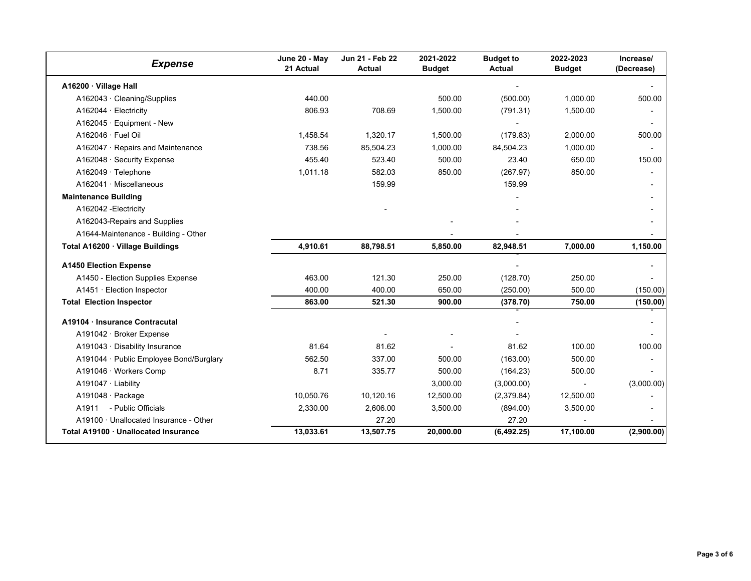| <b>Expense</b>                          | June 20 - May<br>21 Actual | Jun 21 - Feb 22<br><b>Actual</b> | 2021-2022<br><b>Budget</b> | <b>Budget to</b><br><b>Actual</b> | 2022-2023<br><b>Budget</b> | Increase/<br>(Decrease) |
|-----------------------------------------|----------------------------|----------------------------------|----------------------------|-----------------------------------|----------------------------|-------------------------|
| A16200 · Village Hall                   |                            |                                  |                            |                                   |                            |                         |
| A162043 · Cleaning/Supplies             | 440.00                     |                                  | 500.00                     | (500.00)                          | 1.000.00                   | 500.00                  |
| A162044 · Electricity                   | 806.93                     | 708.69                           | 1.500.00                   | (791.31)                          | 1,500.00                   |                         |
| $A162045 \cdot$ Equipment - New         |                            |                                  |                            |                                   |                            |                         |
| $A162046 \cdot$ Fuel Oil                | 1,458.54                   | 1,320.17                         | 1,500.00                   | (179.83)                          | 2,000.00                   | 500.00                  |
| A162047 · Repairs and Maintenance       | 738.56                     | 85,504.23                        | 1.000.00                   | 84,504.23                         | 1,000.00                   |                         |
| A162048 · Security Expense              | 455.40                     | 523.40                           | 500.00                     | 23.40                             | 650.00                     | 150.00                  |
| $A162049 \cdot$ Telephone               | 1,011.18                   | 582.03                           | 850.00                     | (267.97)                          | 850.00                     |                         |
| A162041 · Miscellaneous                 |                            | 159.99                           |                            | 159.99                            |                            |                         |
| <b>Maintenance Building</b>             |                            |                                  |                            |                                   |                            |                         |
| A162042 - Electricity                   |                            |                                  |                            |                                   |                            |                         |
| A162043-Repairs and Supplies            |                            |                                  |                            |                                   |                            |                         |
| A1644-Maintenance - Building - Other    |                            |                                  |                            |                                   |                            |                         |
| Total A16200 · Village Buildings        | 4,910.61                   | 88,798.51                        | 5,850.00                   | 82,948.51                         | 7,000.00                   | 1,150.00                |
| <b>A1450 Election Expense</b>           |                            |                                  |                            |                                   |                            |                         |
| A1450 - Election Supplies Expense       | 463.00                     | 121.30                           | 250.00                     | (128.70)                          | 250.00                     |                         |
| A1451 · Election Inspector              | 400.00                     | 400.00                           | 650.00                     | (250.00)                          | 500.00                     | (150.00)                |
| <b>Total Election Inspector</b>         | 863.00                     | 521.30                           | 900.00                     | (378.70)                          | 750.00                     | (150.00)                |
| A19104 · Insurance Contracutal          |                            |                                  |                            |                                   |                            |                         |
| A191042 · Broker Expense                |                            |                                  |                            |                                   |                            |                         |
| A191043 · Disability Insurance          | 81.64                      | 81.62                            |                            | 81.62                             | 100.00                     | 100.00                  |
| A191044 · Public Employee Bond/Burglary | 562.50                     | 337.00                           | 500.00                     | (163.00)                          | 500.00                     |                         |
| A191046 · Workers Comp                  | 8.71                       | 335.77                           | 500.00                     | (164.23)                          | 500.00                     |                         |
| A191047 · Liability                     |                            |                                  | 3,000.00                   | (3,000.00)                        | $\blacksquare$             | (3,000.00)              |
| A191048 · Package                       | 10,050.76                  | 10,120.16                        | 12,500.00                  | (2,379.84)                        | 12,500.00                  |                         |
| A1911<br>- Public Officials             | 2,330.00                   | 2,606.00                         | 3,500.00                   | (894.00)                          | 3,500.00                   |                         |
| A19100 · Unallocated Insurance - Other  |                            | 27.20                            |                            | 27.20                             |                            |                         |
| Total A19100 · Unallocated Insurance    | 13,033.61                  | 13,507.75                        | 20,000.00                  | (6, 492.25)                       | 17,100.00                  | (2,900.00)              |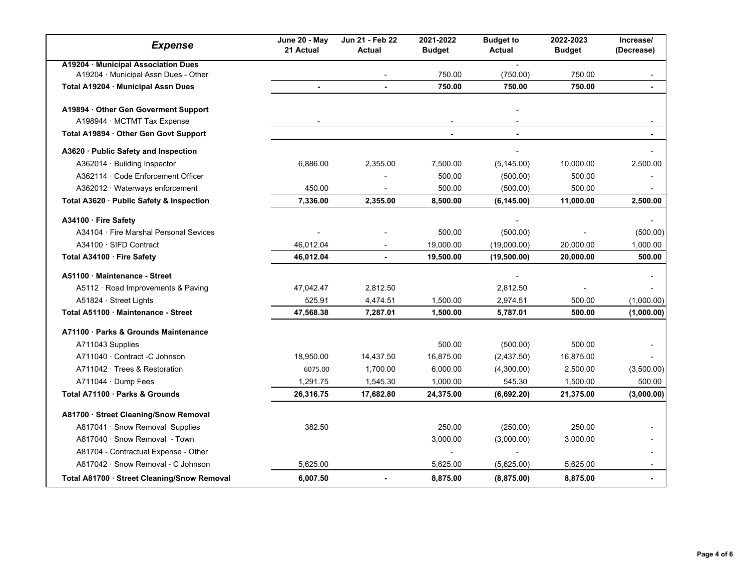| <b>Expense</b>                                                              | June 20 - May<br>21 Actual | Jun 21 - Feb 22<br><b>Actual</b> | 2021-2022<br><b>Budget</b> | <b>Budget to</b><br>Actual | 2022-2023<br><b>Budget</b> | Increase/<br>(Decrease)  |
|-----------------------------------------------------------------------------|----------------------------|----------------------------------|----------------------------|----------------------------|----------------------------|--------------------------|
| A19204 · Municipal Association Dues<br>A19204 · Municipal Assn Dues - Other |                            |                                  | 750.00                     | (750.00)                   | 750.00                     |                          |
| Total A19204 · Municipal Assn Dues                                          |                            | ä,                               | 750.00                     | 750.00                     | 750.00                     |                          |
| A19894 · Other Gen Goverment Support<br>A198944 · MCTMT Tax Expense         | $\overline{\phantom{a}}$   |                                  | $\overline{\phantom{a}}$   |                            |                            | $\overline{\phantom{a}}$ |
| Total A19894 · Other Gen Govt Support                                       |                            |                                  | $\blacksquare$             | $\blacksquare$             |                            | ÷.                       |
| A3620 · Public Safety and Inspection                                        |                            |                                  |                            |                            |                            |                          |
| A362014 · Building Inspector                                                | 6,886.00                   | 2,355.00                         | 7,500.00                   | (5, 145.00)                | 10,000.00                  | 2,500.00                 |
| A362114 · Code Enforcement Officer                                          |                            |                                  | 500.00                     | (500.00)                   | 500.00                     |                          |
| A362012 · Waterways enforcement                                             | 450.00                     | ٠                                | 500.00                     | (500.00)                   | 500.00                     |                          |
| Total A3620 · Public Safety & Inspection                                    | 7,336.00                   | 2,355.00                         | 8,500.00                   | (6, 145.00)                | 11,000.00                  | 2,500.00                 |
| A34100 · Fire Safety                                                        |                            |                                  |                            |                            |                            |                          |
| A34104 · Fire Marshal Personal Sevices                                      |                            |                                  | 500.00                     | (500.00)                   |                            | (500.00)                 |
| A34100 · SIFD Contract                                                      | 46,012.04                  |                                  | 19,000.00                  | (19,000.00)                | 20,000.00                  | 1,000.00                 |
| Total A34100 · Fire Safety                                                  | 46,012.04                  |                                  | 19,500.00                  | (19,500.00)                | 20,000.00                  | 500.00                   |
| A51100 · Maintenance - Street                                               |                            |                                  |                            |                            |                            |                          |
| A5112 · Road Improvements & Paving                                          | 47,042.47                  | 2,812.50                         |                            | 2,812.50                   |                            |                          |
| A51824 · Street Lights                                                      | 525.91                     | 4,474.51                         | 1,500.00                   | 2,974.51                   | 500.00                     | (1,000.00)               |
| Total A51100 Maintenance - Street                                           | 47,568.38                  | 7,287.01                         | 1.500.00                   | 5,787.01                   | 500.00                     | (1,000.00)               |
| A71100 · Parks & Grounds Maintenance                                        |                            |                                  |                            |                            |                            |                          |
| A711043 Supplies                                                            |                            |                                  | 500.00                     | (500.00)                   | 500.00                     |                          |
| A711040 · Contract -C Johnson                                               | 18,950.00                  | 14,437.50                        | 16,875.00                  | (2,437.50)                 | 16,875.00                  |                          |
| A711042 · Trees & Restoration                                               | 6075.00                    | 1,700.00                         | 6,000.00                   | (4,300.00)                 | 2,500.00                   | (3,500.00)               |
| A711044 · Dump Fees                                                         | 1,291.75                   | 1,545.30                         | 1,000.00                   | 545.30                     | 1,500.00                   | 500.00                   |
| Total A71100 · Parks & Grounds                                              | 26,316.75                  | 17,682.80                        | 24,375.00                  | (6,692.20)                 | 21,375.00                  | (3,000.00)               |
| A81700 · Street Cleaning/Snow Removal                                       |                            |                                  |                            |                            |                            |                          |
| A817041 · Snow Removal Supplies                                             | 382.50                     |                                  | 250.00                     | (250.00)                   | 250.00                     |                          |
| A817040 · Snow Removal - Town                                               |                            |                                  | 3,000.00                   | (3,000.00)                 | 3,000.00                   |                          |
| A81704 - Contractual Expense - Other                                        |                            |                                  |                            |                            |                            |                          |
| A817042 · Snow Removal - C Johnson                                          | 5,625.00                   |                                  | 5,625.00                   | (5,625.00)                 | 5,625.00                   |                          |
| Total A81700 · Street Cleaning/Snow Removal                                 | 6,007.50                   | $\blacksquare$                   | 8,875.00                   | (8,875.00)                 | 8,875.00                   |                          |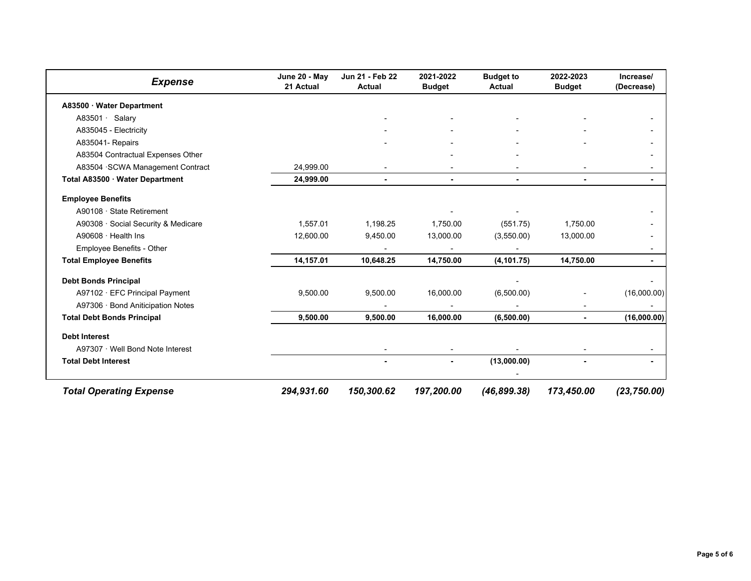| <b>Expense</b>                      | June 20 - May<br>21 Actual | Jun 21 - Feb 22<br><b>Actual</b> | 2021-2022<br><b>Budget</b> | <b>Budget to</b><br><b>Actual</b> | 2022-2023<br><b>Budget</b> | Increase/<br>(Decrease) |
|-------------------------------------|----------------------------|----------------------------------|----------------------------|-----------------------------------|----------------------------|-------------------------|
| A83500 · Water Department           |                            |                                  |                            |                                   |                            |                         |
| A83501 · Salary                     |                            |                                  |                            |                                   |                            |                         |
| A835045 - Electricity               |                            |                                  |                            |                                   |                            |                         |
| A835041- Repairs                    |                            |                                  |                            |                                   |                            |                         |
| A83504 Contractual Expenses Other   |                            |                                  |                            |                                   |                            |                         |
| A83504 · SCWA Management Contract   | 24,999.00                  |                                  |                            |                                   |                            |                         |
| Total A83500 · Water Department     | 24,999.00                  |                                  |                            |                                   |                            |                         |
| <b>Employee Benefits</b>            |                            |                                  |                            |                                   |                            |                         |
| A90108 · State Retirement           |                            |                                  |                            |                                   |                            |                         |
| A90308 · Social Security & Medicare | 1,557.01                   | 1,198.25                         | 1,750.00                   | (551.75)                          | 1,750.00                   |                         |
| A90608 $\cdot$ Health Ins           | 12,600.00                  | 9,450.00                         | 13,000.00                  | (3,550.00)                        | 13,000.00                  |                         |
| Employee Benefits - Other           |                            |                                  |                            |                                   |                            |                         |
| <b>Total Employee Benefits</b>      | 14,157.01                  | 10,648.25                        | 14,750.00                  | (4, 101.75)                       | 14,750.00                  |                         |
| <b>Debt Bonds Principal</b>         |                            |                                  |                            |                                   |                            |                         |
| A97102 · EFC Principal Payment      | 9,500.00                   | 9,500.00                         | 16,000.00                  | (6,500.00)                        |                            | (16,000.00)             |
| A97306 · Bond Aniticipation Notes   |                            |                                  |                            |                                   |                            |                         |
| <b>Total Debt Bonds Principal</b>   | 9,500.00                   | 9,500.00                         | 16,000.00                  | (6,500.00)                        |                            | (16,000.00)             |
| <b>Debt Interest</b>                |                            |                                  |                            |                                   |                            |                         |
| A97307 · Well Bond Note Interest    |                            |                                  |                            |                                   |                            |                         |
| <b>Total Debt Interest</b>          |                            |                                  | ۰.                         | (13,000.00)                       |                            |                         |
| <b>Total Operating Expense</b>      | 294,931.60                 | 150,300.62                       | 197,200.00                 | (46, 899.38)                      | 173,450.00                 | (23, 750.00)            |